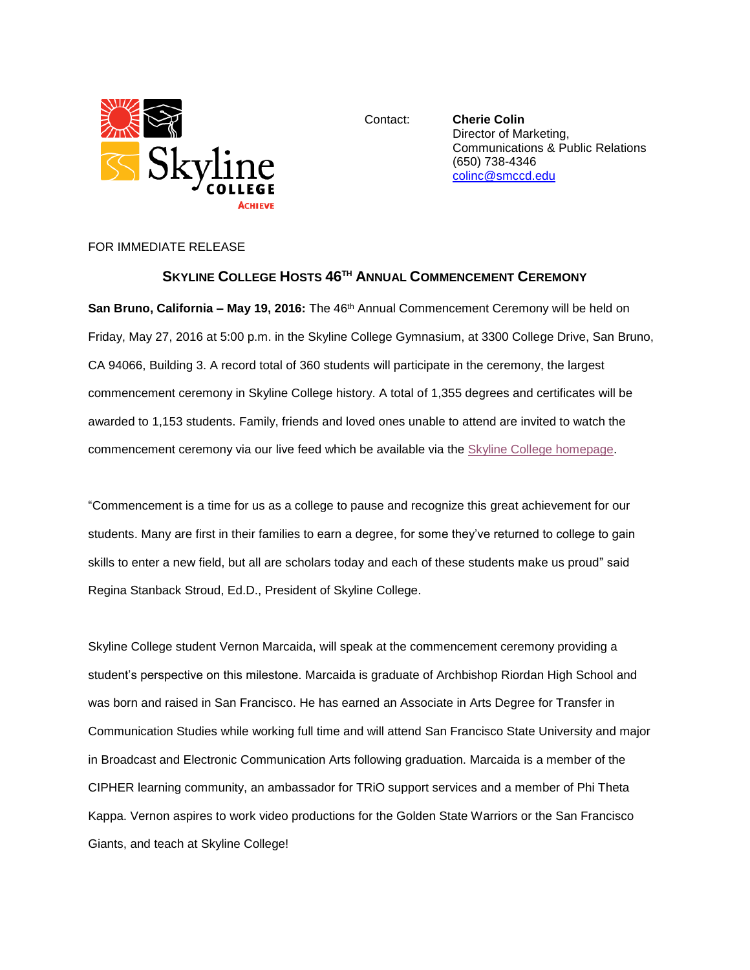

Contact: **Cherie Colin** Director of Marketing, Communications & Public Relations (650) 738-4346 [colinc@smccd.edu](mailto:colinc@smccd.edu)

## FOR IMMEDIATE RELEASE

## **SKYLINE COLLEGE HOSTS 46TH ANNUAL COMMENCEMENT CEREMONY**

**San Bruno, California – May 19, 2016:** The 46th Annual Commencement Ceremony will be held on Friday, May 27, 2016 at 5:00 p.m. in the Skyline College Gymnasium, at 3300 College Drive, San Bruno, CA 94066, Building 3. A record total of 360 students will participate in the ceremony, the largest commencement ceremony in Skyline College history. A total of 1,355 degrees and certificates will be awarded to 1,153 students. Family, friends and loved ones unable to attend are invited to watch the commencement ceremony via our live feed which be available via the [Skyline College homepage.](http://www.skylinecollege.edu/)

"Commencement is a time for us as a college to pause and recognize this great achievement for our students. Many are first in their families to earn a degree, for some they've returned to college to gain skills to enter a new field, but all are scholars today and each of these students make us proud" said Regina Stanback Stroud, Ed.D., President of Skyline College.

Skyline College student Vernon Marcaida, will speak at the commencement ceremony providing a student's perspective on this milestone. Marcaida is graduate of Archbishop Riordan High School and was born and raised in San Francisco. He has earned an Associate in Arts Degree for Transfer in Communication Studies while working full time and will attend San Francisco State University and major in Broadcast and Electronic Communication Arts following graduation. Marcaida is a member of the CIPHER learning community, an ambassador for TRiO support services and a member of Phi Theta Kappa. Vernon aspires to work video productions for the Golden State Warriors or the San Francisco Giants, and teach at Skyline College!